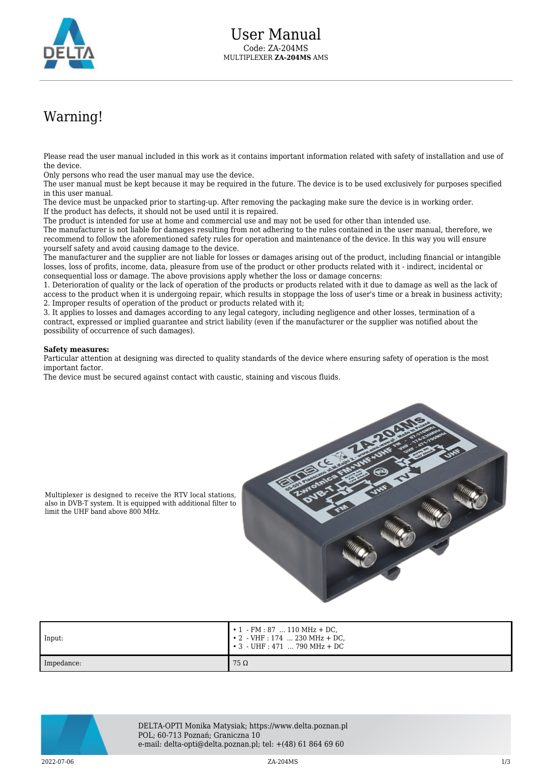

## Warning!

Please read the user manual included in this work as it contains important information related with safety of installation and use of the device.

Only persons who read the user manual may use the device.

The user manual must be kept because it may be required in the future. The device is to be used exclusively for purposes specified in this user manual.

The device must be unpacked prior to starting-up. After removing the packaging make sure the device is in working order. If the product has defects, it should not be used until it is repaired.

The product is intended for use at home and commercial use and may not be used for other than intended use.

The manufacturer is not liable for damages resulting from not adhering to the rules contained in the user manual, therefore, we recommend to follow the aforementioned safety rules for operation and maintenance of the device. In this way you will ensure yourself safety and avoid causing damage to the device.

The manufacturer and the supplier are not liable for losses or damages arising out of the product, including financial or intangible losses, loss of profits, income, data, pleasure from use of the product or other products related with it - indirect, incidental or consequential loss or damage. The above provisions apply whether the loss or damage concerns:

1. Deterioration of quality or the lack of operation of the products or products related with it due to damage as well as the lack of access to the product when it is undergoing repair, which results in stoppage the loss of user's time or a break in business activity; 2. Improper results of operation of the product or products related with it;

3. It applies to losses and damages according to any legal category, including negligence and other losses, termination of a contract, expressed or implied guarantee and strict liability (even if the manufacturer or the supplier was notified about the possibility of occurrence of such damages).

## **Safety measures:**

Particular attention at designing was directed to quality standards of the device where ensuring safety of operation is the most important factor.

The device must be secured against contact with caustic, staining and viscous fluids.



Multiplexer is designed to receive the RTV local stations, also in DVB-T system. It is equipped with additional filter to limit the UHF band above 800 MHz.

| Input:     | $\cdot 1$ - FM : 87  110 MHz + DC,<br>$\cdot 2$ - VHF : 174  230 MHz + DC,<br>$\, \cdot \,$ 3 $\,$ - UHF : 471 $\,$ 790 MHz + DC $\,$ |
|------------|---------------------------------------------------------------------------------------------------------------------------------------|
| Impedance: | $75\Omega$                                                                                                                            |



DELTA-OPTI Monika Matysiak; https://www.delta.poznan.pl POL; 60-713 Poznań; Graniczna 10 e-mail: delta-opti@delta.poznan.pl; tel: +(48) 61 864 69 60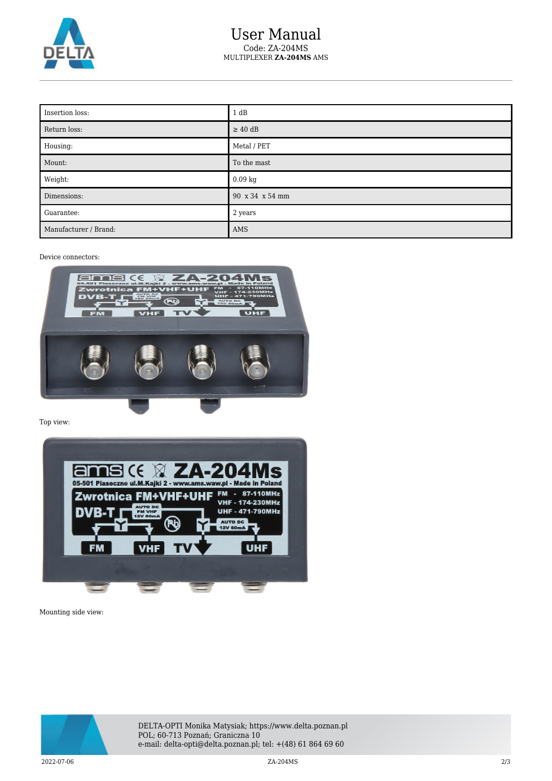

| Insertion loss:       | 1 dB            |
|-----------------------|-----------------|
| Return loss:          | $\geq 40$ dB    |
| Housing:              | Metal / PET     |
| Mount:                | To the mast     |
| Weight:               | 0.09 kg         |
| Dimensions:           | 90 x 34 x 54 mm |
| Guarantee:            | 2 years         |
| Manufacturer / Brand: | AMS             |

Device connectors:



Top view:



Mounting side view:



DELTA-OPTI Monika Matysiak; https://www.delta.poznan.pl POL; 60-713 Poznań; Graniczna 10 e-mail: delta-opti@delta.poznan.pl; tel: +(48) 61 864 69 60

2022-07-06 ZA-204MS 2/3